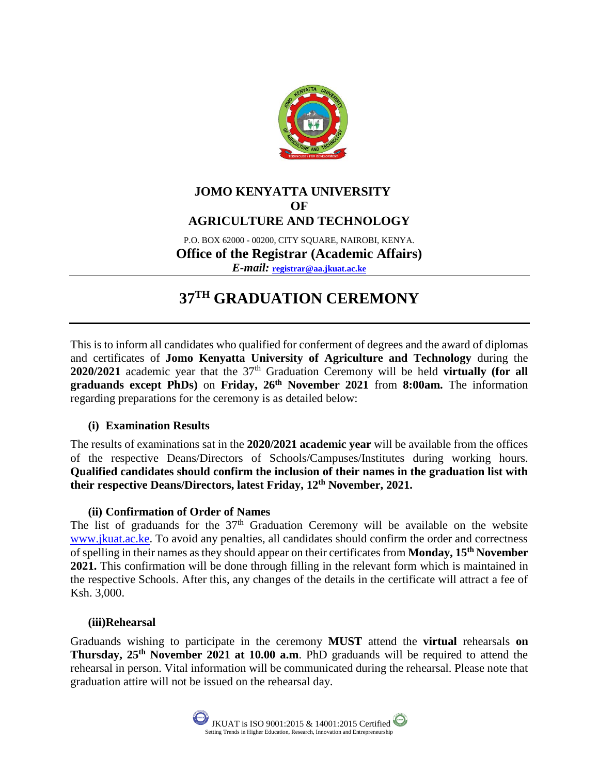

# **JOMO KENYATTA UNIVERSITY OF AGRICULTURE AND TECHNOLOGY**

P.O. BOX 62000 - 00200, CITY SQUARE, NAIROBI, KENYA. **Office of the Registrar (Academic Affairs)**  *E-mail:* **[registrar@aa.jkuat.ac.ke](mailto:registrar@aa.jkuat.ac.ke)**

# **37TH GRADUATION CEREMONY**

This is to inform all candidates who qualified for conferment of degrees and the award of diplomas and certificates of **Jomo Kenyatta University of Agriculture and Technology** during the 2020/2021 academic year that the 37<sup>th</sup> Graduation Ceremony will be held **virtually (for all graduands except PhDs)** on **Friday, 26th November 2021** from **8:00am.** The information regarding preparations for the ceremony is as detailed below:

### **(i) Examination Results**

The results of examinations sat in the **2020/2021 academic year** will be available from the offices of the respective Deans/Directors of Schools/Campuses/Institutes during working hours. **Qualified candidates should confirm the inclusion of their names in the graduation list with their respective Deans/Directors, latest Friday, 12th November, 2021.**

### **(ii) Confirmation of Order of Names**

The list of graduands for the  $37<sup>th</sup>$  Graduation Ceremony will be available on the website [www.jkuat.ac.ke.](http://www.jkuat.ac.ke/) To avoid any penalties, all candidates should confirm the order and correctness of spelling in their names as they should appear on their certificates from **Monday, 15th November 2021.** This confirmation will be done through filling in the relevant form which is maintained in the respective Schools. After this, any changes of the details in the certificate will attract a fee of Ksh. 3,000.

#### **(iii)Rehearsal**

Graduands wishing to participate in the ceremony **MUST** attend the **virtual** rehearsals **on Thursday, 25th November 2021 at 10.00 a.m**. PhD graduands will be required to attend the rehearsal in person. Vital information will be communicated during the rehearsal. Please note that graduation attire will not be issued on the rehearsal day.

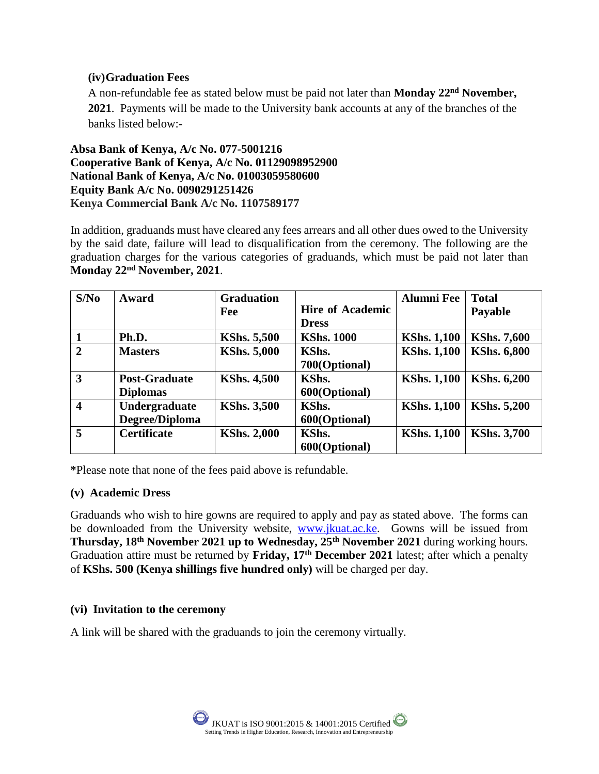#### **(iv)Graduation Fees**

A non-refundable fee as stated below must be paid not later than **Monday 22nd November, 2021**. Payments will be made to the University bank accounts at any of the branches of the banks listed below:-

**Absa Bank of Kenya, A/c No. 077-5001216 Cooperative Bank of Kenya, A/c No. 01129098952900 National Bank of Kenya, A/c No. 01003059580600 Equity Bank A/c No. 0090291251426 Kenya Commercial Bank A/c No. 1107589177**

In addition, graduands must have cleared any fees arrears and all other dues owed to the University by the said date, failure will lead to disqualification from the ceremony. The following are the graduation charges for the various categories of graduands, which must be paid not later than **Monday 22nd November, 2021**.

| S/No           | Award                | <b>Graduation</b>  |                         | <b>Alumni</b> Fee  | <b>Total</b>       |
|----------------|----------------------|--------------------|-------------------------|--------------------|--------------------|
|                |                      | Fee                | <b>Hire of Academic</b> |                    | <b>Payable</b>     |
|                |                      |                    | <b>Dress</b>            |                    |                    |
|                | Ph.D.                | <b>KShs. 5,500</b> | <b>KShs. 1000</b>       | <b>KShs. 1,100</b> | <b>KShs. 7,600</b> |
| $\overline{2}$ | <b>Masters</b>       | <b>KShs. 5,000</b> | KShs.                   | <b>KShs. 1,100</b> | <b>KShs. 6,800</b> |
|                |                      |                    | 700(Optional)           |                    |                    |
| 3              | <b>Post-Graduate</b> | <b>KShs. 4,500</b> | KShs.                   | <b>KShs. 1,100</b> | <b>KShs. 6,200</b> |
|                | <b>Diplomas</b>      |                    | 600(Optional)           |                    |                    |
| 4              | Undergraduate        | <b>KShs. 3,500</b> | KShs.                   | <b>KShs. 1,100</b> | <b>KShs. 5,200</b> |
|                | Degree/Diploma       |                    | 600(Optional)           |                    |                    |
| 5              | <b>Certificate</b>   | <b>KShs. 2,000</b> | KShs.                   | <b>KShs. 1,100</b> | <b>KShs. 3,700</b> |
|                |                      |                    | 600(Optional)           |                    |                    |

**\***Please note that none of the fees paid above is refundable.

#### **(v) Academic Dress**

Graduands who wish to hire gowns are required to apply and pay as stated above. The forms can be downloaded from the University website, [www.jkuat.ac.ke.](http://www.jkuat.ac.ke/) Gowns will be issued from **Thursday, 18th November 2021 up to Wednesday, 25th November 2021** during working hours. Graduation attire must be returned by **Friday, 17th December 2021** latest; after which a penalty of **KShs. 500 (Kenya shillings five hundred only)** will be charged per day.

### **(vi) Invitation to the ceremony**

A link will be shared with the graduands to join the ceremony virtually.